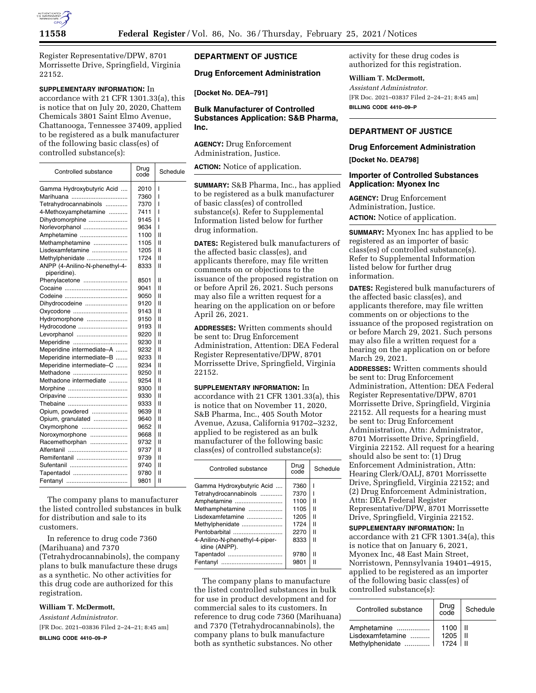

Register Representative/DPW, 8701 Morrissette Drive, Springfield, Virginia 22152.

#### **SUPPLEMENTARY INFORMATION:** In

accordance with 21 CFR 1301.33(a), this is notice that on July 20, 2020, Chattem Chemicals 3801 Saint Elmo Avenue, Chattanooga, Tennessee 37409, applied to be registered as a bulk manufacturer of the following basic class(es) of controlled substance(s):

| Controlled substance           | Drug<br>code | Schedule |
|--------------------------------|--------------|----------|
| Gamma Hydroxybutyric Acid      | 2010         | ı        |
| Marihuana                      | 7360         | ı        |
| Tetrahydrocannabinols          | 7370         | ı        |
| 4-Methoxyamphetamine           | 7411         | ı        |
| Dihydromorphine                | 9145         | ı        |
| Norlevorphanol                 | 9634         | ı        |
| Amphetamine                    | 1100         | Ш        |
| Methamphetamine                | 1105         | н        |
| Lisdexamfetamine               | 1205         | Ш        |
| Methylphenidate                | 1724         | Ш        |
| ANPP (4-Anilino-N-phenethyl-4- | 8333         | Ш        |
| piperidine).                   |              |          |
| Phenylacetone                  | 8501         | н        |
|                                | 9041         | Ш        |
|                                | 9050         | Ш        |
| Dihydrocodeine                 | 9120         | н        |
| Oxycodone                      | 9143         | П        |
| Hydromorphone                  | 9150         | Ш        |
| Hydrocodone                    | 9193         | Ш        |
| Levorphanol                    | 9220         | н        |
| Meperidine                     | 9230         | Ш        |
| Meperidine intermediate-A      | 9232         | П        |
| Meperidine intermediate-B      | 9233         | Ш        |
| Meperidine intermediate-C      | 9234         | Ш        |
| Methadone                      | 9250         | н        |
| Methadone intermediate         | 9254         | Ш        |
|                                | 9300         | Ш        |
|                                | 9330         | Ш        |
|                                | 9333         | н        |
| Opium, powdered                | 9639         | н        |
| Opium, granulated              | 9640         | Ш        |
| Oxymorphone                    | 9652         | Ш        |
| Noroxymorphone                 | 9668         | н        |
| Racemethorphan                 | 9732         | н        |
| Alfentanil                     | 9737         | Ш        |
| Remifentanil                   | 9739         | Ш        |
|                                | 9740         | Ш        |
| Tapentadol                     | 9780         | н        |
|                                | 9801         | Ш        |

The company plans to manufacturer the listed controlled substances in bulk for distribution and sale to its customers.

In reference to drug code 7360 (Marihuana) and 7370 (Tetrahydrocannabinols), the company plans to bulk manufacture these drugs as a synthetic. No other activities for

this drug code are authorized for this registration.

# **William T. McDermott,**

*Assistant Administrator.*  [FR Doc. 2021–03836 Filed 2–24–21; 8:45 am] **BILLING CODE 4410–09–P** 

# **DEPARTMENT OF JUSTICE**

### **Drug Enforcement Administration**

**[Docket No. DEA–791]** 

## **Bulk Manufacturer of Controlled Substances Application: S&B Pharma, Inc.**

**AGENCY:** Drug Enforcement Administration, Justice.

**ACTION:** Notice of application.

**SUMMARY:** S&B Pharma, Inc., has applied to be registered as a bulk manufacturer of basic class(es) of controlled substance(s). Refer to Supplemental Information listed below for further drug information.

**DATES:** Registered bulk manufacturers of the affected basic class(es), and applicants therefore, may file written comments on or objections to the issuance of the proposed registration on or before April 26, 2021. Such persons may also file a written request for a hearing on the application on or before April 26, 2021.

**ADDRESSES:** Written comments should be sent to: Drug Enforcement Administration, Attention: DEA Federal Register Representative/DPW, 8701 Morrissette Drive, Springfield, Virginia 22152.

**SUPPLEMENTARY INFORMATION:** In accordance with 21 CFR 1301.33(a), this is notice that on November 11, 2020, S&B Pharma, Inc., 405 South Motor Avenue, Azusa, California 91702–3232, applied to be registered as an bulk manufacturer of the following basic class(es) of controlled substance(s):

| Controlled substance                            | Drug<br>code | Schedule |
|-------------------------------------------------|--------------|----------|
| Gamma Hydroxybutyric Acid                       | 7360         |          |
| Tetrahydrocannabinols                           | 7370         |          |
| Amphetamine                                     | 1100         | Ш        |
| Methamphetamine                                 | 1105         | Ш        |
| Lisdexamfetamine                                | 1205         | Ш        |
| Methylphenidate                                 | 1724         | Ш        |
| Pentobarbital                                   | 2270         | Ш        |
| 4-Anilino-N-phenethyl-4-piper-<br>idine (ANPP). | 8333         | н        |
| Tapentadol                                      | 9780         | Ш        |
| Fentanvl<br>                                    | 9801         | Ш        |
|                                                 |              |          |

The company plans to manufacture the listed controlled substances in bulk for use in product development and for commercial sales to its customers. In reference to drug code 7360 (Marihuana) and 7370 (Tetrahydrocannabinols), the company plans to bulk manufacture both as synthetic substances. No other

activity for these drug codes is authorized for this registration.

### **William T. McDermott,**

*Assistant Administrator.*  [FR Doc. 2021–03837 Filed 2–24–21; 8:45 am] **BILLING CODE 4410–09–P** 

# **DEPARTMENT OF JUSTICE**

#### **Drug Enforcement Administration**

**[Docket No. DEA798]** 

### **Importer of Controlled Substances Application: Myonex Inc**

**AGENCY:** Drug Enforcement Administration, Justice. **ACTION:** Notice of application.

**SUMMARY:** Myonex Inc has applied to be registered as an importer of basic class(es) of controlled substance(s). Refer to Supplemental Information listed below for further drug information.

**DATES:** Registered bulk manufacturers of the affected basic class(es), and applicants therefore, may file written comments on or objections to the issuance of the proposed registration on or before March 29, 2021. Such persons may also file a written request for a hearing on the application on or before March 29, 2021.

**ADDRESSES:** Written comments should be sent to: Drug Enforcement Administration, Attention: DEA Federal Register Representative/DPW, 8701 Morrissette Drive, Springfield, Virginia 22152. All requests for a hearing must be sent to: Drug Enforcement Administration, Attn: Administrator, 8701 Morrissette Drive, Springfield, Virginia 22152. All request for a hearing should also be sent to: (1) Drug Enforcement Administration, Attn: Hearing Clerk/OALJ, 8701 Morrissette Drive, Springfield, Virginia 22152; and (2) Drug Enforcement Administration, Attn: DEA Federal Register Representative/DPW, 8701 Morrissette Drive, Springfield, Virginia 22152.

**SUPPLEMENTARY INFORMATION:** In accordance with 21 CFR 1301.34(a), this is notice that on January 6, 2021, Myonex Inc, 48 East Main Street, Norristown, Pennsylvania 19401–4915, applied to be registered as an importer of the following basic class(es) of controlled substance(s):

| Controlled substance                               | Drug<br>code                | Schedule |
|----------------------------------------------------|-----------------------------|----------|
| Amphetamine<br>Lisdexamfetamine<br>Methylphenidate | 1100<br>1205<br>$1724$   II | Ш        |